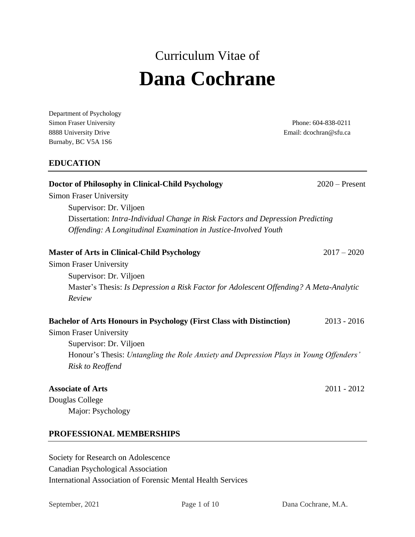# Curriculum Vitae of **Dana Cochrane**

Department of Psychology Simon Fraser University Phone: 604-838-0211 8888 University Drive **Email:** dcochran@sfu.ca Burnaby, BC V5A 1S6

# **EDUCATION**

| Doctor of Philosophy in Clinical-Child Psychology<br><b>Simon Fraser University</b>    | $2020$ – Present |  |  |  |
|----------------------------------------------------------------------------------------|------------------|--|--|--|
| Supervisor: Dr. Viljoen                                                                |                  |  |  |  |
| Dissertation: Intra-Individual Change in Risk Factors and Depression Predicting        |                  |  |  |  |
| Offending: A Longitudinal Examination in Justice-Involved Youth                        |                  |  |  |  |
| <b>Master of Arts in Clinical-Child Psychology</b>                                     | $2017 - 2020$    |  |  |  |
| <b>Simon Fraser University</b>                                                         |                  |  |  |  |
| Supervisor: Dr. Viljoen                                                                |                  |  |  |  |
| Master's Thesis: Is Depression a Risk Factor for Adolescent Offending? A Meta-Analytic |                  |  |  |  |
| Review                                                                                 |                  |  |  |  |
| <b>Bachelor of Arts Honours in Psychology (First Class with Distinction)</b>           | $2013 - 2016$    |  |  |  |
| <b>Simon Fraser University</b>                                                         |                  |  |  |  |
| Supervisor: Dr. Viljoen                                                                |                  |  |  |  |
| Honour's Thesis: Untangling the Role Anxiety and Depression Plays in Young Offenders'  |                  |  |  |  |
| <b>Risk to Reoffend</b>                                                                |                  |  |  |  |
| <b>Associate of Arts</b>                                                               | $2011 - 2012$    |  |  |  |
| Douglas College                                                                        |                  |  |  |  |
| Major: Psychology                                                                      |                  |  |  |  |

# **PROFESSIONAL MEMBERSHIPS**

Society for Research on Adolescence Canadian Psychological Association International Association of Forensic Mental Health Services

September, 2021 Page 1 of 10 Dana Cochrane, M.A.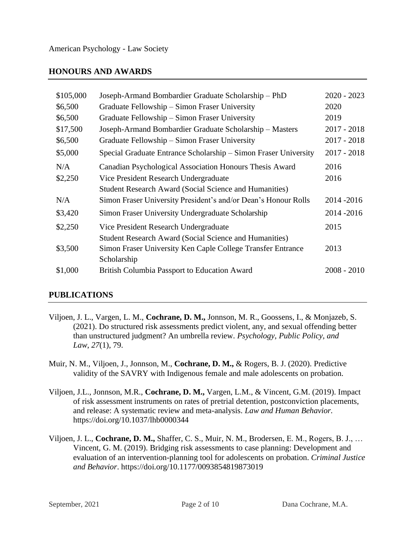# **HONOURS AND AWARDS**

| \$105,000 | Joseph-Armand Bombardier Graduate Scholarship - PhD             | $2020 - 2023$ |
|-----------|-----------------------------------------------------------------|---------------|
| \$6,500   | Graduate Fellowship – Simon Fraser University                   | 2020          |
| \$6,500   | Graduate Fellowship – Simon Fraser University                   | 2019          |
| \$17,500  | Joseph-Armand Bombardier Graduate Scholarship - Masters         | $2017 - 2018$ |
| \$6,500   | Graduate Fellowship – Simon Fraser University                   | $2017 - 2018$ |
| \$5,000   | Special Graduate Entrance Scholarship – Simon Fraser University | $2017 - 2018$ |
| N/A       | Canadian Psychological Association Honours Thesis Award         | 2016          |
| \$2,250   | Vice President Research Undergraduate                           | 2016          |
|           | <b>Student Research Award (Social Science and Humanities)</b>   |               |
| N/A       | Simon Fraser University President's and/or Dean's Honour Rolls  | 2014 - 2016   |
| \$3,420   | Simon Fraser University Undergraduate Scholarship               | 2014 - 2016   |
| \$2,250   | Vice President Research Undergraduate                           | 2015          |
|           | <b>Student Research Award (Social Science and Humanities)</b>   |               |
| \$3,500   | Simon Fraser University Ken Caple College Transfer Entrance     | 2013          |
|           | Scholarship                                                     |               |
| \$1,000   | <b>British Columbia Passport to Education Award</b>             | $2008 - 2010$ |
|           |                                                                 |               |

# **PUBLICATIONS**

- Viljoen, J. L., Vargen, L. M., **Cochrane, D. M.,** Jonnson, M. R., Goossens, I., & Monjazeb, S. (2021). Do structured risk assessments predict violent, any, and sexual offending better than unstructured judgment? An umbrella review. *Psychology, Public Policy, and Law*, *27*(1), 79.
- Muir, N. M., Viljoen, J., Jonnson, M., **Cochrane, D. M.,** & Rogers, B. J. (2020). Predictive validity of the SAVRY with Indigenous female and male adolescents on probation.
- Viljoen, J.L., Jonnson, M.R., **Cochrane, D. M.,** Vargen, L.M., & Vincent, G.M. (2019). Impact of risk assessment instruments on rates of pretrial detention, postconviction placements, and release: A systematic review and meta-analysis. *Law and Human Behavior.*  https://doi.org/10.1037/lhb0000344
- Viljoen, J. L., **Cochrane, D. M.,** Shaffer, C. S., Muir, N. M., Brodersen, E. M., Rogers, B. J., … Vincent, G. M. (2019). Bridging risk assessments to case planning: Development and evaluation of an intervention-planning tool for adolescents on probation. *Criminal Justice and Behavior*. https://doi.org/10.1177/0093854819873019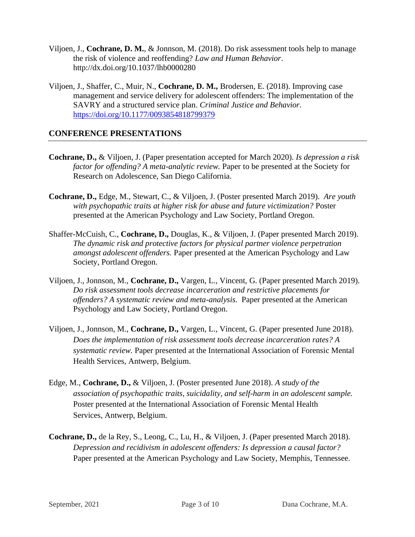- Viljoen, J., **Cochrane, D. M.**, & Jonnson, M. (2018). Do risk assessment tools help to manage the risk of violence and reoffending? *Law and Human Behavior*. http://dx.doi.org/10.1037/lhb0000280
- Viljoen, J., Shaffer, C., Muir, N., **Cochrane, D. M.,** Brodersen, E. (2018). Improving case management and service delivery for adolescent offenders: The implementation of the SAVRY and a structured service plan. *Criminal Justice and Behavior.*  <https://doi.org/10.1177/0093854818799379>

# **CONFERENCE PRESENTATIONS**

- **Cochrane, D.,** & Viljoen, J. (Paper presentation accepted for March 2020). *Is depression a risk factor for offending? A meta-analytic review.* Paper to be presented at the Society for Research on Adolescence, San Diego California.
- **Cochrane, D.,** Edge, M., Stewart, C., & Viljoen, J. (Poster presented March 2019). *Are youth with psychopathic traits at higher risk for abuse and future victimization?* Poster presented at the American Psychology and Law Society, Portland Oregon.
- Shaffer-McCuish, C., **Cochrane, D.,** Douglas, K., & Viljoen, J. (Paper presented March 2019). *The dynamic risk and protective factors for physical partner violence perpetration amongst adolescent offenders.* Paper presented at the American Psychology and Law Society, Portland Oregon.
- Viljoen, J., Jonnson, M., **Cochrane, D.,** Vargen, L., Vincent, G. (Paper presented March 2019). *Do risk assessment tools decrease incarceration and restrictive placements for offenders? A systematic review and meta-analysis.* Paper presented at the American Psychology and Law Society, Portland Oregon.
- Viljoen, J., Jonnson, M., **Cochrane, D.,** Vargen, L., Vincent, G. (Paper presented June 2018). *Does the implementation of risk assessment tools decrease incarceration rates? A systematic review.* Paper presented at the International Association of Forensic Mental Health Services, Antwerp, Belgium.
- Edge, M., **Cochrane, D.,** & Viljoen, J. (Poster presented June 2018). *A study of the association of psychopathic traits, suicidality, and self-harm in an adolescent sample.* Poster presented at the International Association of Forensic Mental Health Services, Antwerp, Belgium.
- **Cochrane, D.,** de la Rey, S., Leong, C., Lu, H., & Viljoen, J. (Paper presented March 2018). *Depression and recidivism in adolescent offenders: Is depression a causal factor?* Paper presented at the American Psychology and Law Society, Memphis, Tennessee.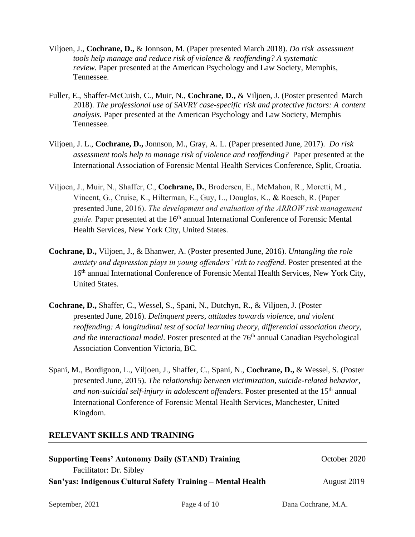- Viljoen, J., **Cochrane, D.,** & Jonnson, M. (Paper presented March 2018). *Do risk assessment tools help manage and reduce risk of violence & reoffending? A systematic review.* Paper presented at the American Psychology and Law Society, Memphis, Tennessee.
- Fuller, E., Shaffer-McCuish, C., Muir, N., **Cochrane, D.,** & Viljoen, J. (Poster presented March 2018). *The professional use of SAVRY case-specific risk and protective factors: A content analysis.* Paper presented at the American Psychology and Law Society, Memphis Tennessee.
- Viljoen, J. L., **Cochrane, D.,** Jonnson, M., Gray, A. L. (Paper presented June, 2017). *Do risk assessment tools help to manage risk of violence and reoffending?* Paper presented at the International Association of Forensic Mental Health Services Conference, Split, Croatia.
- Viljoen, J., Muir, N., Shaffer, C., **Cochrane, D.**, Brodersen, E., McMahon, R., Moretti, M., Vincent, G., Cruise, K., Hilterman, E., Guy, L., Douglas, K., & Roesch, R. (Paper presented June, 2016). *The development and evaluation of the ARROW risk management guide*. Paper presented at the 16<sup>th</sup> annual International Conference of Forensic Mental Health Services, New York City, United States.
- **Cochrane, D.,** Viljoen, J., & Bhanwer, A. (Poster presented June, 2016). *Untangling the role anxiety and depression plays in young offenders' risk to reoffend.* Poster presented at the 16<sup>th</sup> annual International Conference of Forensic Mental Health Services, New York City, United States.
- **Cochrane, D.,** Shaffer, C., Wessel, S., Spani, N., Dutchyn, R., & Viljoen, J. (Poster presented June, 2016). *Delinquent peers, attitudes towards violence, and violent reoffending: A longitudinal test of social learning theory, differential association theory, and the interactional model*. Poster presented at the 76<sup>th</sup> annual Canadian Psychological Association Convention Victoria, BC.
- Spani, M., Bordignon, L., Viljoen, J., Shaffer, C., Spani, N., **Cochrane, D.,** & Wessel, S. (Poster presented June, 2015). *The relationship between victimization, suicide-related behavior, and non-suicidal self-injury in adolescent offenders*. Poster presented at the 15<sup>th</sup> annual International Conference of Forensic Mental Health Services, Manchester, United Kingdom.

# **RELEVANT SKILLS AND TRAINING**

| <b>Supporting Teens' Autonomy Daily (STAND) Training</b>     | October 2020 |
|--------------------------------------------------------------|--------------|
| Facilitator: Dr. Sibley                                      |              |
| San'yas: Indigenous Cultural Safety Training – Mental Health | August 2019  |

September, 2021 Page 4 of 10 Dana Cochrane, M.A.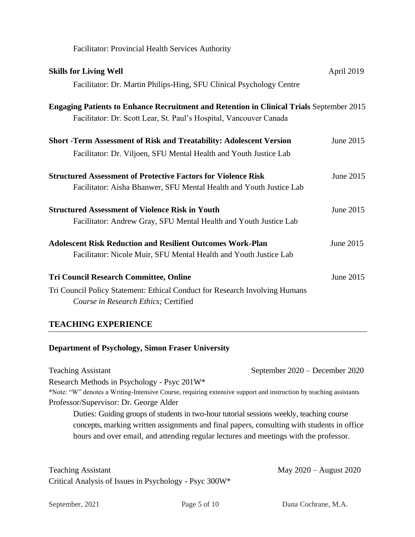| <b>Facilitator: Provincial Health Services Authority</b>                                                                                                              |            |  |  |
|-----------------------------------------------------------------------------------------------------------------------------------------------------------------------|------------|--|--|
| <b>Skills for Living Well</b><br>Facilitator: Dr. Martin Philips-Hing, SFU Clinical Psychology Centre                                                                 | April 2019 |  |  |
| <b>Engaging Patients to Enhance Recruitment and Retention in Clinical Trials September 2015</b><br>Facilitator: Dr. Scott Lear, St. Paul's Hospital, Vancouver Canada |            |  |  |
| <b>Short -Term Assessment of Risk and Treatability: Adolescent Version</b><br>Facilitator: Dr. Viljoen, SFU Mental Health and Youth Justice Lab                       | June 2015  |  |  |
| <b>Structured Assessment of Protective Factors for Violence Risk</b><br>Facilitator: Aisha Bhanwer, SFU Mental Health and Youth Justice Lab                           | June 2015  |  |  |
| <b>Structured Assessment of Violence Risk in Youth</b><br>Facilitator: Andrew Gray, SFU Mental Health and Youth Justice Lab                                           | June 2015  |  |  |
| <b>Adolescent Risk Reduction and Resilient Outcomes Work-Plan</b><br>Facilitator: Nicole Muir, SFU Mental Health and Youth Justice Lab                                | June 2015  |  |  |
| <b>Tri Council Research Committee, Online</b><br>Tri Council Policy Statement: Ethical Conduct for Research Involving Humans<br>Course in Research Ethics; Certified  | June 2015  |  |  |

# **TEACHING EXPERIENCE**

# **Department of Psychology, Simon Fraser University**

Teaching Assistant September 2020 – December 2020 Research Methods in Psychology - Psyc 201W\* \*Note: "W" denotes a Writing-Intensive Course, requiring extensive support and instruction by teaching assistants Professor/Supervisor: Dr. George Alder Duties: Guiding groups of students in two-hour tutorial sessions weekly, teaching course concepts, marking written assignments and final papers, consulting with students in office hours and over email, and attending regular lectures and meetings with the professor.

Teaching Assistant May 2020 – August 2020 Critical Analysis of Issues in Psychology - Psyc 300W\*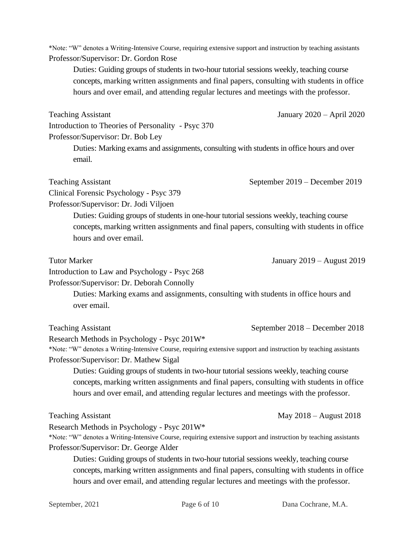\*Note: "W" denotes a Writing-Intensive Course, requiring extensive support and instruction by teaching assistants Professor/Supervisor: Dr. Gordon Rose

Duties: Guiding groups of students in two-hour tutorial sessions weekly, teaching course concepts, marking written assignments and final papers, consulting with students in office hours and over email, and attending regular lectures and meetings with the professor.

Teaching Assistant January 2020 – April 2020 Introduction to Theories of Personality - Psyc 370 Professor/Supervisor: Dr. Bob Ley

Duties: Marking exams and assignments, consulting with students in office hours and over email.

Teaching Assistant September 2019 – December 2019

Clinical Forensic Psychology - Psyc 379

Professor/Supervisor: Dr. Jodi Viljoen

Duties: Guiding groups of students in one-hour tutorial sessions weekly, teaching course concepts, marking written assignments and final papers, consulting with students in office hours and over email.

Tutor Marker January 2019 – August 2019

Introduction to Law and Psychology - Psyc 268

Professor/Supervisor: Dr. Deborah Connolly

Duties: Marking exams and assignments, consulting with students in office hours and over email.

Teaching Assistant September 2018 – December 2018

Research Methods in Psychology - Psyc 201W\*

\*Note: "W" denotes a Writing-Intensive Course, requiring extensive support and instruction by teaching assistants Professor/Supervisor: Dr. Mathew Sigal

Duties: Guiding groups of students in two-hour tutorial sessions weekly, teaching course concepts, marking written assignments and final papers, consulting with students in office hours and over email, and attending regular lectures and meetings with the professor.

Research Methods in Psychology - Psyc 201W\*

\*Note: "W" denotes a Writing-Intensive Course, requiring extensive support and instruction by teaching assistants Professor/Supervisor: Dr. George Alder

Duties: Guiding groups of students in two-hour tutorial sessions weekly, teaching course concepts, marking written assignments and final papers, consulting with students in office hours and over email, and attending regular lectures and meetings with the professor.

Teaching Assistant May 2018 – August 2018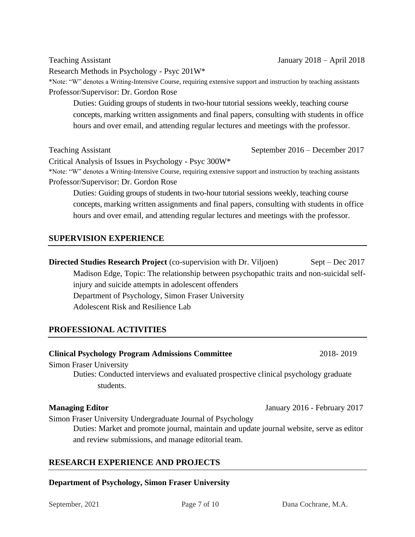Research Methods in Psychology - Psyc 201W\*

\*Note: "W" denotes a Writing-Intensive Course, requiring extensive support and instruction by teaching assistants Professor/Supervisor: Dr. Gordon Rose

Duties: Guiding groups of students in two-hour tutorial sessions weekly, teaching course concepts, marking written assignments and final papers, consulting with students in office hours and over email, and attending regular lectures and meetings with the professor.

Teaching Assistant September 2016 – December 2017

Critical Analysis of Issues in Psychology - Psyc 300W\*

\*Note: "W" denotes a Writing-Intensive Course, requiring extensive support and instruction by teaching assistants Professor/Supervisor: Dr. Gordon Rose

Duties: Guiding groups of students in two-hour tutorial sessions weekly, teaching course concepts, marking written assignments and final papers, consulting with students in office hours and over email, and attending regular lectures and meetings with the professor.

# **SUPERVISION EXPERIENCE**

**Directed Studies Research Project** (co-supervision with Dr. Viljoen) Sept – Dec 2017 Madison Edge, Topic: The relationship between psychopathic traits and non-suicidal selfinjury and suicide attempts in adolescent offenders Department of Psychology, Simon Fraser University Adolescent Risk and Resilience Lab

# **PROFESSIONAL ACTIVITIES**

# **Clinical Psychology Program Admissions Committee** 2018- 2019

Simon Fraser University

Duties: Conducted interviews and evaluated prospective clinical psychology graduate students.

Simon Fraser University Undergraduate Journal of Psychology

Duties: Market and promote journal, maintain and update journal website, serve as editor and review submissions, and manage editorial team.

# **RESEARCH EXPERIENCE AND PROJECTS**

# **Department of Psychology, Simon Fraser University**

**Managing Editor January 2016 - February 2017**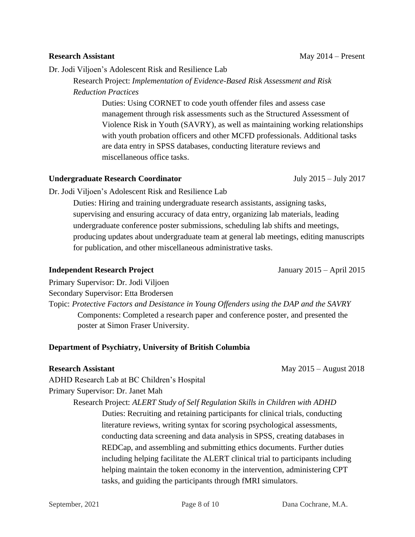# management through risk assessments such as the Structured Assessment of

Violence Risk in Youth (SAVRY), as well as maintaining working relationships with youth probation officers and other MCFD professionals. Additional tasks are data entry in SPSS databases, conducting literature reviews and miscellaneous office tasks.

Research Project: *Implementation of Evidence-Based Risk Assessment and Risk* 

Duties: Using CORNET to code youth offender files and assess case

# **Undergraduate Research Coordinator** July 2015 – July 2017

*Reduction Practices*

Dr. Jodi Viljoen's Adolescent Risk and Resilience Lab

Dr. Jodi Viljoen's Adolescent Risk and Resilience Lab

Duties: Hiring and training undergraduate research assistants, assigning tasks, supervising and ensuring accuracy of data entry, organizing lab materials, leading undergraduate conference poster submissions, scheduling lab shifts and meetings, producing updates about undergraduate team at general lab meetings, editing manuscripts for publication, and other miscellaneous administrative tasks.

# **Independent Research Project** January 2015 – April 2015

Primary Supervisor: Dr. Jodi Viljoen Secondary Supervisor: Etta Brodersen Topic: *Protective Factors and Desistance in Young Offenders using the DAP and the SAVRY* Components: Completed a research paper and conference poster, and presented the poster at Simon Fraser University.

# **Department of Psychiatry, University of British Columbia**

**Research Assistant** May 2015 – August 2018

ADHD Research Lab at BC Children's Hospital Primary Supervisor: Dr. Janet Mah

Research Project: *ALERT Study of Self Regulation Skills in Children with ADHD*

Duties: Recruiting and retaining participants for clinical trials, conducting literature reviews, writing syntax for scoring psychological assessments, conducting data screening and data analysis in SPSS, creating databases in REDCap, and assembling and submitting ethics documents. Further duties including helping facilitate the ALERT clinical trial to participants including helping maintain the token economy in the intervention, administering CPT tasks, and guiding the participants through fMRI simulators.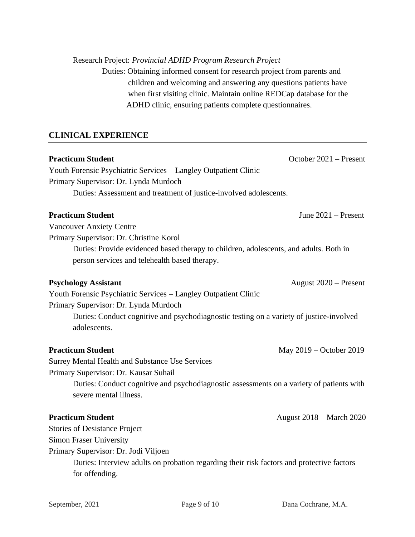### Research Project: *Provincial ADHD Program Research Project*

Duties: Obtaining informed consent for research project from parents and children and welcoming and answering any questions patients have when first visiting clinic. Maintain online REDCap database for the ADHD clinic, ensuring patients complete questionnaires.

# **CLINICAL EXPERIENCE**

**Practicum Student Practicum Student October 2021** – Present

Youth Forensic Psychiatric Services – Langley Outpatient Clinic Primary Supervisor: Dr. Lynda Murdoch Duties: Assessment and treatment of justice-involved adolescents.

# **Practicum Student** June 2021 – Present

Vancouver Anxiety Centre

Primary Supervisor: Dr. Christine Korol

Duties: Provide evidenced based therapy to children, adolescents, and adults. Both in person services and telehealth based therapy.

# **Psychology Assistant** August 2020 – Present

Youth Forensic Psychiatric Services – Langley Outpatient Clinic Primary Supervisor: Dr. Lynda Murdoch

> Duties: Conduct cognitive and psychodiagnostic testing on a variety of justice-involved adolescents.

# **Practicum Student** May 2019 – October 2019

Surrey Mental Health and Substance Use Services Primary Supervisor: Dr. Kausar Suhail

> Duties: Conduct cognitive and psychodiagnostic assessments on a variety of patients with severe mental illness.

# **Practicum Student August 2018 – March 2020**

Stories of Desistance Project

Simon Fraser University

Primary Supervisor: Dr. Jodi Viljoen

Duties: Interview adults on probation regarding their risk factors and protective factors for offending.